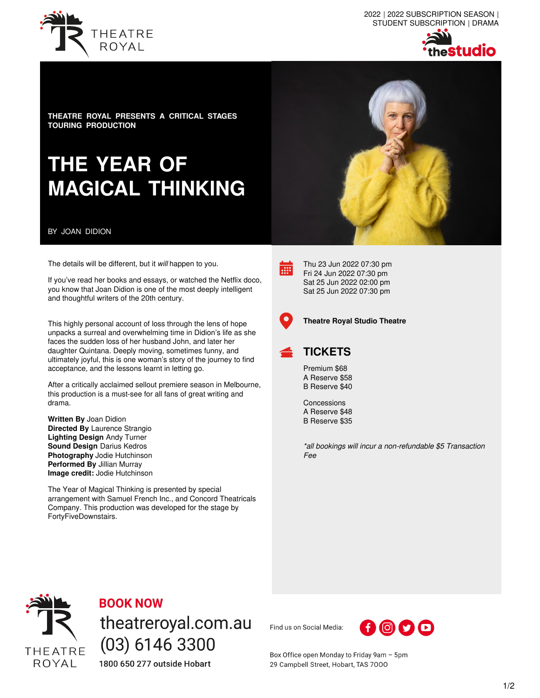

2022 | 2022 SUBSCRIPTION SEASON | STUDENT SUBSCRIPTION | DRAMA



**THEATRE ROYAL PRESENTS A CRITICAL STAGES TOURING PRODUCTION**

# **THE YEAR OF MAGICAL THINKING**

#### BY JOAN DIDION

The details will be different, but it *will* happen to you.

If you've read her books and essays, or watched the Netflix doco, you know that Joan Didion is one of the most deeply intelligent and thoughtful writers of the 20th century.

This highly personal account of loss through the lens of hope unpacks a surreal and overwhelming time in Didion's life as she faces the sudden loss of her husband John, and later her daughter Quintana. Deeply moving, sometimes funny, and ultimately joyful, this is one woman's story of the journey to find acceptance, and the lessons learnt in letting go.

After a critically acclaimed sellout premiere season in Melbourne, this production is a must-see for all fans of great writing and drama.

**Written By** Joan Didion **Directed By** Laurence Strangio **Lighting Design** Andy Turner **Sound Design** Darius Kedros **Photography** Jodie Hutchinson **Performed By** Jillian Murray **Image credit:** Jodie Hutchinson

The Year of Magical Thinking is presented by special arrangement with Samuel French Inc., and Concord Theatricals Company. This production was developed for the stage by FortyFiveDownstairs.





Thu 23 Jun 2022 07:30 pm Fri 24 Jun 2022 07:30 pm Sat 25 Jun 2022 02:00 pm Sat 25 Jun 2022 07:30 pm



**Theatre Royal Studio Theatre**

### **TICKETS**

Premium \$68 A Reserve \$58 B Reserve \$40

Concessions A Reserve \$48 B Reserve \$35

*\*all bookings will incur a non-refundable \$5 Transaction Fee*



# **BOOK NOW**

theatreroyal.com.au  $(03)$  6146 3300

1800 650 277 outside Hobart

Find us on Social Media:



Box Office open Monday to Friday 9am - 5pm 29 Campbell Street, Hobart, TAS 7000